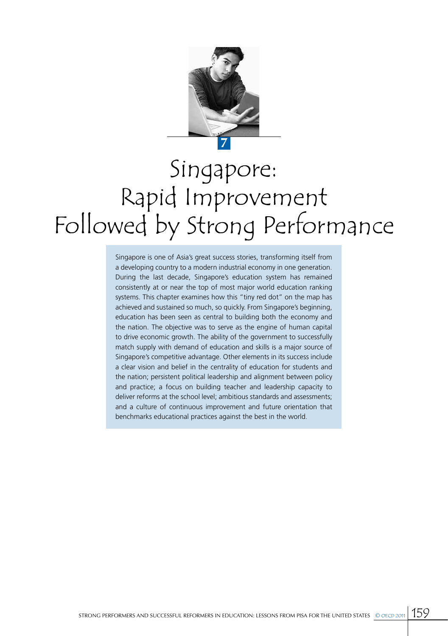

# Singapore: Rapid Improvement Followed by Strong Performance

Singapore is one of Asia's great success stories, transforming itself from a developing country to a modern industrial economy in one generation. During the last decade, Singapore's education system has remained consistently at or near the top of most major world education ranking systems. This chapter examines how this "tiny red dot" on the map has achieved and sustained so much, so quickly. From Singapore's beginning, education has been seen as central to building both the economy and the nation. The objective was to serve as the engine of human capital to drive economic growth. The ability of the government to successfully match supply with demand of education and skills is a major source of Singapore's competitive advantage. Other elements in its success include a clear vision and belief in the centrality of education for students and the nation; persistent political leadership and alignment between policy and practice; a focus on building teacher and leadership capacity to deliver reforms at the school level; ambitious standards and assessments; and a culture of continuous improvement and future orientation that benchmarks educational practices against the best in the world.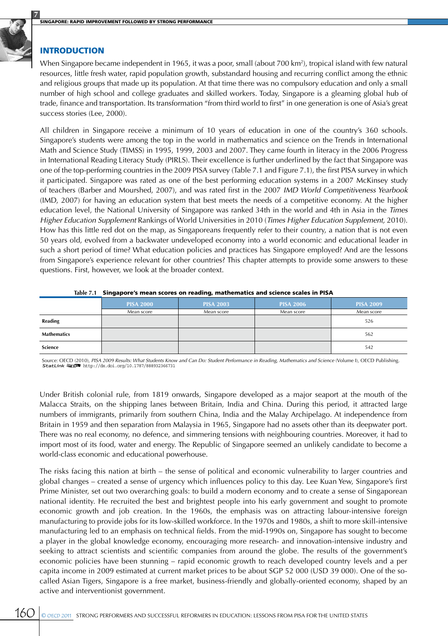#### **INTRODUCTION**

When Singapore became independent in 1965, it was a poor, small (about 700 km2 ), tropical island with few natural resources, little fresh water, rapid population growth, substandard housing and recurring conflict among the ethnic and religious groups that made up its population. At that time there was no compulsory education and only a small number of high school and college graduates and skilled workers. Today, Singapore is a gleaming global hub of trade, finance and transportation. Its transformation "from third world to first" in one generation is one of Asia's great success stories (Lee, 2000).

All children in Singapore receive a minimum of 10 years of education in one of the country's 360 schools. Singapore's students were among the top in the world in mathematics and science on the Trends in International Math and Science Study (TIMSS) in 1995, 1999, 2003 and 2007. They came fourth in literacy in the 2006 Progress in International Reading Literacy Study (PIRLS). Their excellence is further underlined by the fact that Singapore was one of the top-performing countries in the 2009 PISA survey (Table 7.1 and Figure 7.1), the first PISA survey in which it participated. Singapore was rated as one of the best performing education systems in a 2007 McKinsey study of teachers (Barber and Mourshed, 2007), and was rated first in the 2007 *IMD World Competitiveness Yearbook* (IMD, 2007) for having an education system that best meets the needs of a competitive economy. At the higher education level, the National University of Singapore was ranked 34th in the world and 4th in Asia in the *Times Higher Education Supplement* Rankings of World Universities in 2010 (*Times Higher Education Supplement,* 2010). How has this little red dot on the map, as Singaporeans frequently refer to their country, a nation that is not even 50 years old, evolved from a backwater undeveloped economy into a world economic and educational leader in such a short period of time? What education policies and practices has Singapore employed? And are the lessons from Singapore's experience relevant for other countries? This chapter attempts to provide some answers to these questions. First, however, we look at the broader context.

| Table 7.1          | Singapore's mean scores on reading, mathematics and science scales in PISA |                  |                  |                  |
|--------------------|----------------------------------------------------------------------------|------------------|------------------|------------------|
|                    | <b>PISA 2000</b>                                                           | <b>PISA 2003</b> | <b>PISA 2006</b> | <b>PISA 2009</b> |
|                    | Mean score                                                                 | Mean score       | Mean score       | Mean score       |
| Reading            |                                                                            |                  |                  | 526              |
| <b>Mathematics</b> |                                                                            |                  |                  | 562              |
| Science            |                                                                            |                  |                  | 542              |

#### **Table 7.1** Singapore's mean scores on reading, mathematics and science scales in PISA

Source: OECD (2010), *PISA 2009 Results: What Students Know and Can Do: Student Performance in Reading, Mathematics and Science* (Volume I), OECD Publishing.<br>**StatLink 霸王** http://dx.doi.org/10.1787/888932366731 StatLink @isP http://dx.doi.org/10.1787/888932366731

Under British colonial rule, from 1819 onwards, Singapore developed as a major seaport at the mouth of the Malacca Straits, on the shipping lanes between Britain, India and China. During this period, it attracted large numbers of immigrants, primarily from southern China, India and the Malay Archipelago. At independence from Britain in 1959 and then separation from Malaysia in 1965, Singapore had no assets other than its deepwater port. There was no real economy, no defence, and simmering tensions with neighbouring countries. Moreover, it had to import most of its food, water and energy. The Republic of Singapore seemed an unlikely candidate to become a world-class economic and educational powerhouse.

The risks facing this nation at birth – the sense of political and economic vulnerability to larger countries and global changes – created a sense of urgency which influences policy to this day. Lee Kuan Yew, Singapore's first Prime Minister, set out two overarching goals: to build a modern economy and to create a sense of Singaporean national identity. He recruited the best and brightest people into his early government and sought to promote economic growth and job creation. In the 1960s, the emphasis was on attracting labour-intensive foreign manufacturing to provide jobs for its low-skilled workforce. In the 1970s and 1980s, a shift to more skill-intensive manufacturing led to an emphasis on technical fields. From the mid-1990s on, Singapore has sought to become a player in the global knowledge economy, encouraging more research- and innovation-intensive industry and seeking to attract scientists and scientific companies from around the globe. The results of the government's economic policies have been stunning – rapid economic growth to reach developed country levels and a per capita income in 2009 estimated at current market prices to be about SGP 52 000 (USD 39 000). One of the socalled Asian Tigers, Singapore is a free market, business-friendly and globally-oriented economy, shaped by an active and interventionist government.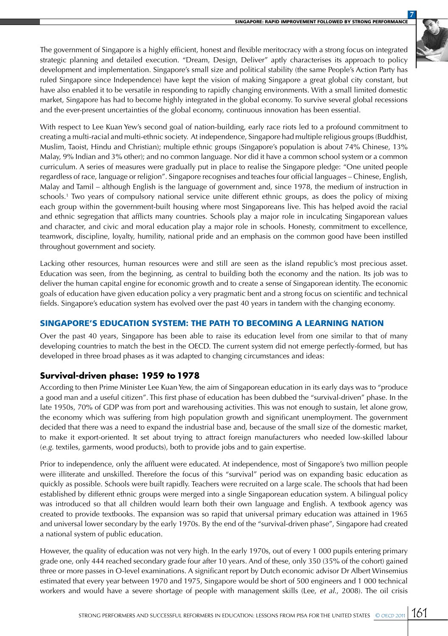

The government of Singapore is a highly efficient, honest and flexible meritocracy with a strong focus on integrated strategic planning and detailed execution. "Dream, Design, Deliver" aptly characterises its approach to policy development and implementation. Singapore's small size and political stability (the same People's Action Party has ruled Singapore since Independence) have kept the vision of making Singapore a great global city constant, but have also enabled it to be versatile in responding to rapidly changing environments. With a small limited domestic market, Singapore has had to become highly integrated in the global economy. To survive several global recessions and the ever-present uncertainties of the global economy, continuous innovation has been essential.

With respect to Lee Kuan Yew's second goal of nation-building, early race riots led to a profound commitment to creating a multi-racial and multi-ethnic society. At independence, Singapore had multiple religious groups (Buddhist, Muslim, Taoist, Hindu and Christian); multiple ethnic groups (Singapore's population is about 74% Chinese, 13% Malay, 9% Indian and 3% other); and no common language. Nor did it have a common school system or a common curriculum. A series of measures were gradually put in place to realise the Singapore pledge: "One united people regardless of race, language or religion". Singapore recognises and teaches four official languages – Chinese, English, Malay and Tamil – although English is the language of government and, since 1978, the medium of instruction in schools.1 Two years of compulsory national service unite different ethnic groups, as does the policy of mixing each group within the government-built housing where most Singaporeans live. This has helped avoid the racial and ethnic segregation that afflicts many countries. Schools play a major role in inculcating Singaporean values and character, and civic and moral education play a major role in schools. Honesty, commitment to excellence, teamwork, discipline, loyalty, humility, national pride and an emphasis on the common good have been instilled throughout government and society.

Lacking other resources, human resources were and still are seen as the island republic's most precious asset. Education was seen, from the beginning, as central to building both the economy and the nation. Its job was to deliver the human capital engine for economic growth and to create a sense of Singaporean identity. The economic goals of education have given education policy a very pragmatic bent and a strong focus on scientific and technical fields. Singapore's education system has evolved over the past 40 years in tandem with the changing economy.

#### Singapore's education system: the path to becoming a learning nation

Over the past 40 years, Singapore has been able to raise its education level from one similar to that of many developing countries to match the best in the OECD. The current system did not emerge perfectly-formed, but has developed in three broad phases as it was adapted to changing circumstances and ideas:

#### **Survival-driven phase: 1959 to1978**

According to then Prime Minister Lee Kuan Yew, the aim of Singaporean education in its early days was to "produce a good man and a useful citizen". This first phase of education has been dubbed the "survival-driven" phase. In the late 1950s, 70% of GDP was from port and warehousing activities. This was not enough to sustain, let alone grow, the economy which was suffering from high population growth and significant unemployment. The government decided that there was a need to expand the industrial base and, because of the small size of the domestic market, to make it export-oriented. It set about trying to attract foreign manufacturers who needed low-skilled labour (*e.g.* textiles, garments, wood products), both to provide jobs and to gain expertise.

Prior to independence, only the affluent were educated. At independence, most of Singapore's two million people were illiterate and unskilled. Therefore the focus of this "survival" period was on expanding basic education as quickly as possible. Schools were built rapidly. Teachers were recruited on a large scale. The schools that had been established by different ethnic groups were merged into a single Singaporean education system. A bilingual policy was introduced so that all children would learn both their own language and English. A textbook agency was created to provide textbooks. The expansion was so rapid that universal primary education was attained in 1965 and universal lower secondary by the early 1970s. By the end of the "survival-driven phase", Singapore had created a national system of public education.

However, the quality of education was not very high. In the early 1970s, out of every 1 000 pupils entering primary grade one, only 444 reached secondary grade four after 10 years. And of these, only 350 (35% of the cohort) gained three or more passes in O-level examinations. A significant report by Dutch economic advisor Dr Albert Winsemius estimated that every year between 1970 and 1975, Singapore would be short of 500 engineers and 1 000 technical workers and would have a severe shortage of people with management skills (Lee, *et al*., 2008). The oil crisis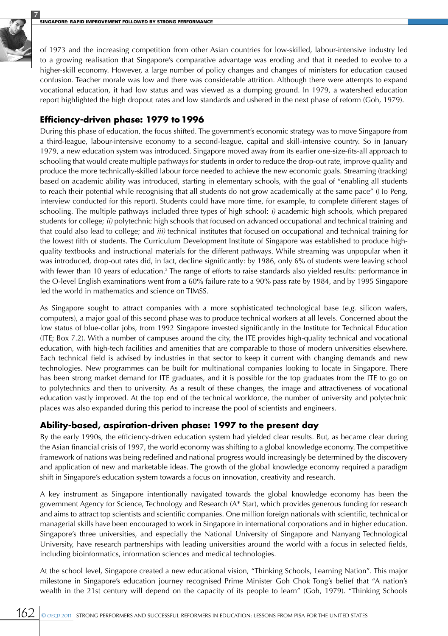of 1973 and the increasing competition from other Asian countries for low-skilled, labour-intensive industry led to a growing realisation that Singapore's comparative advantage was eroding and that it needed to evolve to a higher-skill economy. However, a large number of policy changes and changes of ministers for education caused confusion. Teacher morale was low and there was considerable attrition. Although there were attempts to expand vocational education, it had low status and was viewed as a dumping ground. In 1979, a watershed education report highlighted the high dropout rates and low standards and ushered in the next phase of reform (Goh, 1979).

### **Efficiency-driven phase: 1979 to1996**

During this phase of education, the focus shifted. The government's economic strategy was to move Singapore from a third-league, labour-intensive economy to a second-league, capital and skill-intensive country. So in January 1979, a new education system was introduced. Singapore moved away from its earlier one-size-fits-all approach to schooling that would create multiple pathways for students in order to reduce the drop-out rate, improve quality and produce the more technically-skilled labour force needed to achieve the new economic goals. Streaming (tracking) based on academic ability was introduced, starting in elementary schools, with the goal of "enabling all students to reach their potential while recognising that all students do not grow academically at the same pace" (Ho Peng, interview conducted for this report). Students could have more time, for example, to complete different stages of schooling. The multiple pathways included three types of high school: *i)* academic high schools, which prepared students for college; *ii)* polytechnic high schools that focused on advanced occupational and technical training and that could also lead to college; and *iii)* technical institutes that focused on occupational and technical training for the lowest fifth of students. The Curriculum Development Institute of Singapore was established to produce highquality textbooks and instructional materials for the different pathways. While streaming was unpopular when it was introduced, drop-out rates did, in fact, decline significantly: by 1986, only 6% of students were leaving school with fewer than 10 years of education.<sup>2</sup> The range of efforts to raise standards also yielded results: performance in the O-level English examinations went from a 60% failure rate to a 90% pass rate by 1984, and by 1995 Singapore led the world in mathematics and science on TIMSS.

As Singapore sought to attract companies with a more sophisticated technological base (*e.g.* silicon wafers, computers), a major goal of this second phase was to produce technical workers at all levels. Concerned about the low status of blue-collar jobs, from 1992 Singapore invested significantly in the Institute for Technical Education (ITE; Box 7.2). With a number of campuses around the city, the ITE provides high-quality technical and vocational education, with high-tech facilities and amenities that are comparable to those of modern universities elsewhere. Each technical field is advised by industries in that sector to keep it current with changing demands and new technologies. New programmes can be built for multinational companies looking to locate in Singapore. There has been strong market demand for ITE graduates, and it is possible for the top graduates from the ITE to go on to polytechnics and then to university. As a result of these changes, the image and attractiveness of vocational education vastly improved. At the top end of the technical workforce, the number of university and polytechnic places was also expanded during this period to increase the pool of scientists and engineers.

#### **Ability-based, aspiration-driven phase: 1997 to the present day**

By the early 1990s, the efficiency-driven education system had yielded clear results. But, as became clear during the Asian financial crisis of 1997, the world economy was shifting to a global knowledge economy. The competitive framework of nations was being redefined and national progress would increasingly be determined by the discovery and application of new and marketable ideas. The growth of the global knowledge economy required a paradigm shift in Singapore's education system towards a focus on innovation, creativity and research.

A key instrument as Singapore intentionally navigated towards the global knowledge economy has been the government Agency for Science, Technology and Research (A\* Star), which provides generous funding for research and aims to attract top scientists and scientific companies. One million foreign nationals with scientific, technical or managerial skills have been encouraged to work in Singapore in international corporations and in higher education. Singapore's three universities, and especially the National University of Singapore and Nanyang Technological University, have research partnerships with leading universities around the world with a focus in selected fields, including bioinformatics, information sciences and medical technologies.

At the school level, Singapore created a new educational vision, "Thinking Schools, Learning Nation". This major milestone in Singapore's education journey recognised Prime Minister Goh Chok Tong's belief that "A nation's wealth in the 21st century will depend on the capacity of its people to learn" (Goh, 1979). "Thinking Schools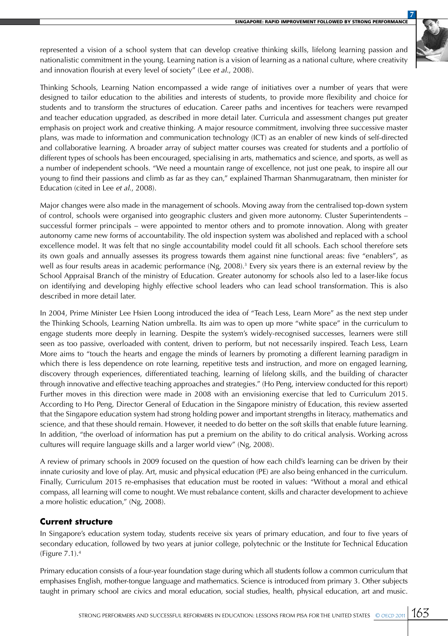represented a vision of a school system that can develop creative thinking skills, lifelong learning passion and nationalistic commitment in the young. Learning nation is a vision of learning as a national culture, where creativity and innovation flourish at every level of society" (Lee *et al*., 2008).

Thinking Schools, Learning Nation encompassed a wide range of initiatives over a number of years that were designed to tailor education to the abilities and interests of students, to provide more flexibility and choice for students and to transform the structures of education. Career paths and incentives for teachers were revamped and teacher education upgraded, as described in more detail later. Curricula and assessment changes put greater emphasis on project work and creative thinking. A major resource commitment, involving three successive master plans, was made to information and communication technology (ICT) as an enabler of new kinds of self-directed and collaborative learning. A broader array of subject matter courses was created for students and a portfolio of different types of schools has been encouraged, specialising in arts, mathematics and science, and sports, as well as a number of independent schools. "We need a mountain range of excellence, not just one peak, to inspire all our young to find their passions and climb as far as they can," explained Tharman Shanmugaratnam, then minister for Education (cited in Lee *et al*., 2008).

Major changes were also made in the management of schools. Moving away from the centralised top-down system of control, schools were organised into geographic clusters and given more autonomy. Cluster Superintendents – successful former principals – were appointed to mentor others and to promote innovation. Along with greater autonomy came new forms of accountability. The old inspection system was abolished and replaced with a school excellence model. It was felt that no single accountability model could fit all schools. Each school therefore sets its own goals and annually assesses its progress towards them against nine functional areas: five "enablers", as well as four results areas in academic performance (Ng, 2008).<sup>3</sup> Every six years there is an external review by the School Appraisal Branch of the ministry of Education. Greater autonomy for schools also led to a laser-like focus on identifying and developing highly effective school leaders who can lead school transformation. This is also described in more detail later.

In 2004, Prime Minister Lee Hsien Loong introduced the idea of "Teach Less, Learn More" as the next step under the Thinking Schools, Learning Nation umbrella. Its aim was to open up more "white space" in the curriculum to engage students more deeply in learning. Despite the system's widely-recognised successes, learners were still seen as too passive, overloaded with content, driven to perform, but not necessarily inspired. Teach Less, Learn More aims to "touch the hearts and engage the minds of learners by promoting a different learning paradigm in which there is less dependence on rote learning, repetitive tests and instruction, and more on engaged learning, discovery through experiences, differentiated teaching, learning of lifelong skills, and the building of character through innovative and effective teaching approaches and strategies." (Ho Peng, interview conducted for this report) Further moves in this direction were made in 2008 with an envisioning exercise that led to Curriculum 2015. According to Ho Peng, Director General of Education in the Singapore ministry of Education, this review asserted that the Singapore education system had strong holding power and important strengths in literacy, mathematics and science, and that these should remain. However, it needed to do better on the soft skills that enable future learning. In addition, "the overload of information has put a premium on the ability to do critical analysis. Working across cultures will require language skills and a larger world view" (Ng, 2008).

A review of primary schools in 2009 focused on the question of how each child's learning can be driven by their innate curiosity and love of play. Art, music and physical education (PE) are also being enhanced in the curriculum. Finally, Curriculum 2015 re-emphasises that education must be rooted in values: "Without a moral and ethical compass, all learning will come to nought. We must rebalance content, skills and character development to achieve a more holistic education," (Ng, 2008).

#### **Current structure**

In Singapore's education system today, students receive six years of primary education, and four to five years of secondary education, followed by two years at junior college, polytechnic or the Institute for Technical Education (Figure 7.1).4

Primary education consists of a four-year foundation stage during which all students follow a common curriculum that emphasises English, mother-tongue language and mathematics. Science is introduced from primary 3. Other subjects taught in primary school are civics and moral education, social studies, health, physical education, art and music.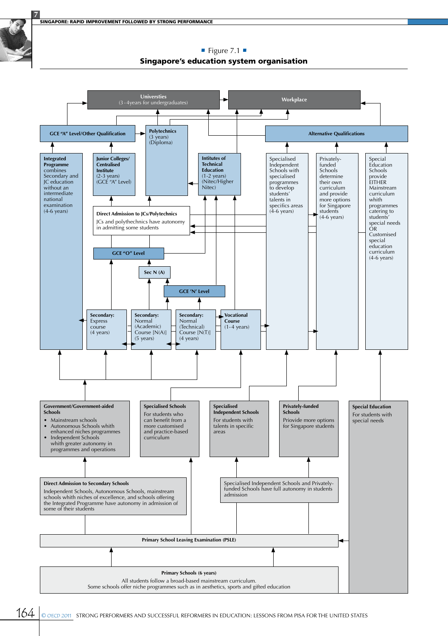

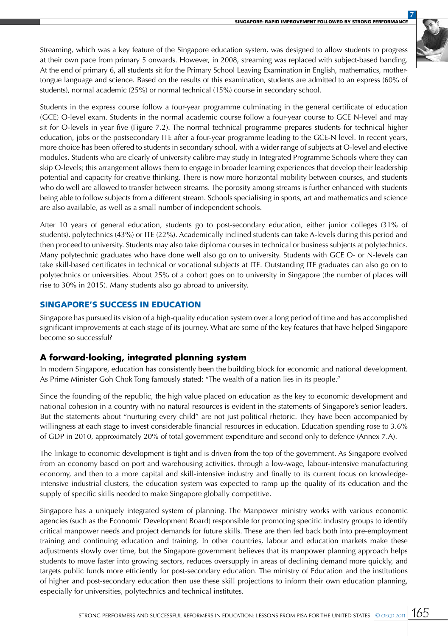Streaming, which was a key feature of the Singapore education system, was designed to allow students to progress at their own pace from primary 5 onwards. However, in 2008, streaming was replaced with subject-based banding. At the end of primary 6, all students sit for the Primary School Leaving Examination in English, mathematics, mothertongue language and science. Based on the results of this examination, students are admitted to an express (60% of students), normal academic (25%) or normal technical (15%) course in secondary school.

Students in the express course follow a four-year programme culminating in the general certificate of education (GCE) O-level exam. Students in the normal academic course follow a four-year course to GCE N-level and may sit for O-levels in year five (Figure 7.2). The normal technical programme prepares students for technical higher education, jobs or the postsecondary ITE after a four-year programme leading to the GCE-N level. In recent years, more choice has been offered to students in secondary school, with a wider range of subjects at O-level and elective modules. Students who are clearly of university calibre may study in Integrated Programme Schools where they can skip O-levels; this arrangement allows them to engage in broader learning experiences that develop their leadership potential and capacity for creative thinking. There is now more horizontal mobility between courses, and students who do well are allowed to transfer between streams. The porosity among streams is further enhanced with students being able to follow subjects from a different stream. Schools specialising in sports, art and mathematics and science are also available, as well as a small number of independent schools.

After 10 years of general education, students go to post-secondary education, either junior colleges (31% of students), polytechnics (43%) or ITE (22%). Academically inclined students can take A-levels during this period and then proceed to university. Students may also take diploma courses in technical or business subjects at polytechnics. Many polytechnic graduates who have done well also go on to university. Students with GCE O- or N-levels can take skill-based certificates in technical or vocational subjects at ITE. Outstanding ITE graduates can also go on to polytechnics or universities. About 25% of a cohort goes on to university in Singapore (the number of places will rise to 30% in 2015). Many students also go abroad to university.

#### Singapore's success in education

Singapore has pursued its vision of a high-quality education system over a long period of time and has accomplished significant improvements at each stage of its journey. What are some of the key features that have helped Singapore become so successful?

#### **A forward-looking, integrated planning system**

In modern Singapore, education has consistently been the building block for economic and national development. As Prime Minister Goh Chok Tong famously stated: "The wealth of a nation lies in its people."

Since the founding of the republic, the high value placed on education as the key to economic development and national cohesion in a country with no natural resources is evident in the statements of Singapore's senior leaders. But the statements about "nurturing every child" are not just political rhetoric. They have been accompanied by willingness at each stage to invest considerable financial resources in education. Education spending rose to 3.6% of GDP in 2010, approximately 20% of total government expenditure and second only to defence (Annex 7.A).

The linkage to economic development is tight and is driven from the top of the government. As Singapore evolved from an economy based on port and warehousing activities, through a low-wage, labour-intensive manufacturing economy, and then to a more capital and skill-intensive industry and finally to its current focus on knowledgeintensive industrial clusters, the education system was expected to ramp up the quality of its education and the supply of specific skills needed to make Singapore globally competitive.

Singapore has a uniquely integrated system of planning. The Manpower ministry works with various economic agencies (such as the Economic Development Board) responsible for promoting specific industry groups to identify critical manpower needs and project demands for future skills. These are then fed back both into pre-employment training and continuing education and training. In other countries, labour and education markets make these adjustments slowly over time, but the Singapore government believes that its manpower planning approach helps students to move faster into growing sectors, reduces oversupply in areas of declining demand more quickly, and targets public funds more efficiently for post-secondary education. The ministry of Education and the institutions of higher and post-secondary education then use these skill projections to inform their own education planning, especially for universities, polytechnics and technical institutes.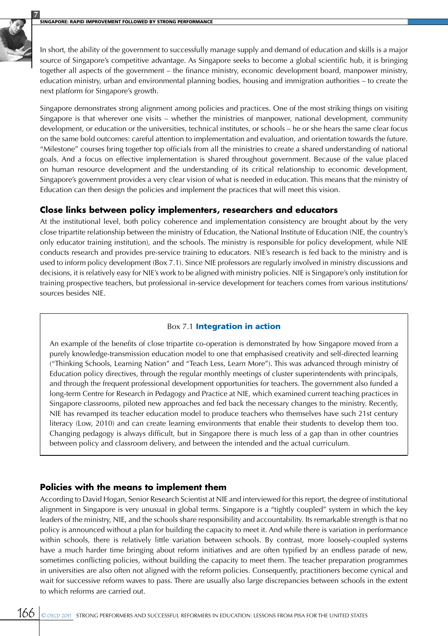In short, the ability of the government to successfully manage supply and demand of education and skills is a major source of Singapore's competitive advantage. As Singapore seeks to become a global scientific hub, it is bringing together all aspects of the government – the finance ministry, economic development board, manpower ministry, education ministry, urban and environmental planning bodies, housing and immigration authorities – to create the next platform for Singapore's growth.

Singapore demonstrates strong alignment among policies and practices. One of the most striking things on visiting Singapore is that wherever one visits – whether the ministries of manpower, national development, community development, or education or the universities, technical institutes, or schools – he or she hears the same clear focus on the same bold outcomes: careful attention to implementation and evaluation, and orientation towards the future. "Milestone" courses bring together top officials from all the ministries to create a shared understanding of national goals. And a focus on effective implementation is shared throughout government. Because of the value placed on human resource development and the understanding of its critical relationship to economic development, Singapore's government provides a very clear vision of what is needed in education. This means that the ministry of Education can then design the policies and implement the practices that will meet this vision.

#### **Close links between policy implementers, researchers and educators**

At the institutional level, both policy coherence and implementation consistency are brought about by the very close tripartite relationship between the ministry of Education, the National Institute of Education (NIE, the country's only educator training institution), and the schools. The ministry is responsible for policy development, while NIE conducts research and provides pre-service training to educators. NIE's research is fed back to the ministry and is used to inform policy development (Box 7.1). Since NIE professors are regularly involved in ministry discussions and decisions, it is relatively easy for NIE's work to be aligned with ministry policies. NIE is Singapore's only institution for training prospective teachers, but professional in-service development for teachers comes from various institutions/ sources besides NIE.

#### Box 7.1 Integration in action

An example of the benefits of close tripartite co-operation is demonstrated by how Singapore moved from a purely knowledge-transmission education model to one that emphasised creativity and self-directed learning ("Thinking Schools, Learning Nation" and "Teach Less, Learn More"). This was advanced through ministry of Education policy directives, through the regular monthly meetings of cluster superintendents with principals, and through the frequent professional development opportunities for teachers. The government also funded a long-term Centre for Research in Pedagogy and Practice at NIE, which examined current teaching practices in Singapore classrooms, piloted new approaches and fed back the necessary changes to the ministry. Recently, NIE has revamped its teacher education model to produce teachers who themselves have such 21st century literacy (Low, 2010) and can create learning environments that enable their students to develop them too. Changing pedagogy is always difficult, but in Singapore there is much less of a gap than in other countries between policy and classroom delivery, and between the intended and the actual curriculum.

#### **Policies with the means to implement them**

According to David Hogan, Senior Research Scientist at NIE and interviewed for this report, the degree of institutional alignment in Singapore is very unusual in global terms. Singapore is a "tightly coupled" system in which the key leaders of the ministry, NIE, and the schools share responsibility and accountability. Its remarkable strength is that no policy is announced without a plan for building the capacity to meet it. And while there is variation in performance within schools, there is relatively little variation between schools. By contrast, more loosely-coupled systems have a much harder time bringing about reform initiatives and are often typified by an endless parade of new, sometimes conflicting policies, without building the capacity to meet them. The teacher preparation programmes in universities are also often not aligned with the reform policies. Consequently, practitioners become cynical and wait for successive reform waves to pass. There are usually also large discrepancies between schools in the extent to which reforms are carried out.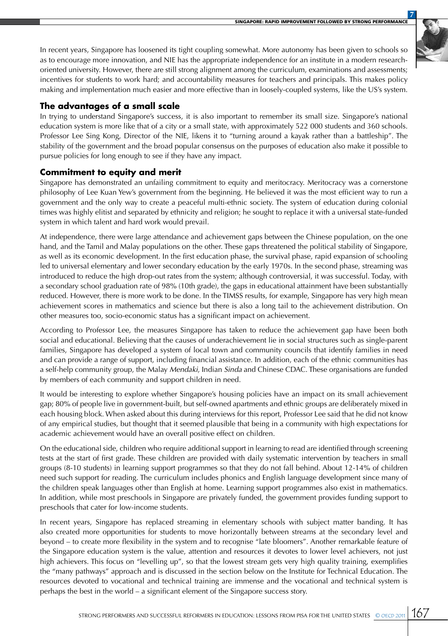In recent years, Singapore has loosened its tight coupling somewhat. More autonomy has been given to schools so as to encourage more innovation, and NIE has the appropriate independence for an institute in a modern researchoriented university. However, there are still strong alignment among the curriculum, examinations and assessments; incentives for students to work hard; and accountability measures for teachers and principals. This makes policy making and implementation much easier and more effective than in loosely-coupled systems, like the US's system.

# **The advantages of a small scale**

In trying to understand Singapore's success, it is also important to remember its small size. Singapore's national education system is more like that of a city or a small state, with approximately 522 000 students and 360 schools. Professor Lee Sing Kong, Director of the NIE, likens it to "turning around a kayak rather than a battleship". The stability of the government and the broad popular consensus on the purposes of education also make it possible to pursue policies for long enough to see if they have any impact.

# **Commitment to equity and merit**

Singapore has demonstrated an unfailing commitment to equity and meritocracy. Meritocracy was a cornerstone philosophy of Lee Kuan Yew's government from the beginning. He believed it was the most efficient way to run a government and the only way to create a peaceful multi-ethnic society. The system of education during colonial times was highly elitist and separated by ethnicity and religion; he sought to replace it with a universal state-funded system in which talent and hard work would prevail.

At independence, there were large attendance and achievement gaps between the Chinese population, on the one hand, and the Tamil and Malay populations on the other. These gaps threatened the political stability of Singapore, as well as its economic development. In the first education phase, the survival phase, rapid expansion of schooling led to universal elementary and lower secondary education by the early 1970s. In the second phase, streaming was introduced to reduce the high drop-out rates from the system; although controversial, it was successful. Today, with a secondary school graduation rate of 98% (10th grade), the gaps in educational attainment have been substantially reduced. However, there is more work to be done. In the TIMSS results, for example, Singapore has very high mean achievement scores in mathematics and science but there is also a long tail to the achievement distribution. On other measures too, socio-economic status has a significant impact on achievement.

According to Professor Lee, the measures Singapore has taken to reduce the achievement gap have been both social and educational. Believing that the causes of underachievement lie in social structures such as single-parent families, Singapore has developed a system of local town and community councils that identify families in need and can provide a range of support, including financial assistance. In addition, each of the ethnic communities has a self-help community group, the Malay *Mendaki*, Indian *Sinda* and Chinese CDAC. These organisations are funded by members of each community and support children in need.

It would be interesting to explore whether Singapore's housing policies have an impact on its small achievement gap; 80% of people live in government-built, but self-owned apartments and ethnic groups are deliberately mixed in each housing block. When asked about this during interviews for this report, Professor Lee said that he did not know of any empirical studies, but thought that it seemed plausible that being in a community with high expectations for academic achievement would have an overall positive effect on children.

On the educational side, children who require additional support in learning to read are identified through screening tests at the start of first grade. These children are provided with daily systematic intervention by teachers in small groups (8-10 students) in learning support programmes so that they do not fall behind. About 12-14% of children need such support for reading. The curriculum includes phonics and English language development since many of the children speak languages other than English at home. Learning support programmes also exist in mathematics. In addition, while most preschools in Singapore are privately funded, the government provides funding support to preschools that cater for low-income students.

In recent years, Singapore has replaced streaming in elementary schools with subject matter banding. It has also created more opportunities for students to move horizontally between streams at the secondary level and beyond – to create more flexibility in the system and to recognise "late bloomers". Another remarkable feature of the Singapore education system is the value, attention and resources it devotes to lower level achievers, not just high achievers. This focus on "levelling up", so that the lowest stream gets very high quality training, exemplifies the "many pathways" approach and is discussed in the section below on the Institute for Technical Education. The resources devoted to vocational and technical training are immense and the vocational and technical system is perhaps the best in the world – a significant element of the Singapore success story.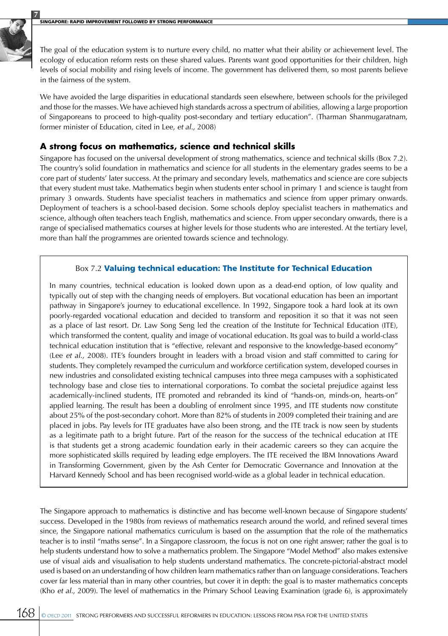The goal of the education system is to nurture every child, no matter what their ability or achievement level. The ecology of education reform rests on these shared values. Parents want good opportunities for their children, high levels of social mobility and rising levels of income. The government has delivered them, so most parents believe in the fairness of the system.

We have avoided the large disparities in educational standards seen elsewhere, between schools for the privileged and those for the masses. We have achieved high standards across a spectrum of abilities, allowing a large proportion of Singaporeans to proceed to high-quality post-secondary and tertiary education". (Tharman Shanmugaratnam, former minister of Education, cited in Lee, *et al.,* 2008)

#### **A strong focus on mathematics, science and technical skills**

Singapore has focused on the universal development of strong mathematics, science and technical skills (Box 7.2). The country's solid foundation in mathematics and science for all students in the elementary grades seems to be a core part of students' later success. At the primary and secondary levels, mathematics and science are core subjects that every student must take. Mathematics begin when students enter school in primary 1 and science is taught from primary 3 onwards. Students have specialist teachers in mathematics and science from upper primary onwards. Deployment of teachers is a school-based decision. Some schools deploy specialist teachers in mathematics and science, although often teachers teach English, mathematics and science. From upper secondary onwards, there is a range of specialised mathematics courses at higher levels for those students who are interested. At the tertiary level, more than half the programmes are oriented towards science and technology.

#### Box 7.2 Valuing technical education: The Institute for Technical Education

In many countries, technical education is looked down upon as a dead-end option, of low quality and typically out of step with the changing needs of employers. But vocational education has been an important pathway in Singapore's journey to educational excellence. In 1992, Singapore took a hard look at its own poorly-regarded vocational education and decided to transform and reposition it so that it was not seen as a place of last resort. Dr. Law Song Seng led the creation of the Institute for Technical Education (ITE), which transformed the content, quality and image of vocational education. Its goal was to build a world-class technical education institution that is "effective, relevant and responsive to the knowledge-based economy" (Lee *et al*., 2008). ITE's founders brought in leaders with a broad vision and staff committed to caring for students. They completely revamped the curriculum and workforce certification system, developed courses in new industries and consolidated existing technical campuses into three mega campuses with a sophisticated technology base and close ties to international corporations. To combat the societal prejudice against less academically-inclined students, ITE promoted and rebranded its kind of "hands-on, minds-on, hearts-on" applied learning. The result has been a doubling of enrolment since 1995, and ITE students now constitute about 25% of the post-secondary cohort. More than 82% of students in 2009 completed their training and are placed in jobs. Pay levels for ITE graduates have also been strong, and the ITE track is now seen by students as a legitimate path to a bright future. Part of the reason for the success of the technical education at ITE is that students get a strong academic foundation early in their academic careers so they can acquire the more sophisticated skills required by leading edge employers. The ITE received the IBM Innovations Award in Transforming Government, given by the Ash Center for Democratic Governance and Innovation at the Harvard Kennedy School and has been recognised world-wide as a global leader in technical education.

The Singapore approach to mathematics is distinctive and has become well-known because of Singapore students' success. Developed in the 1980s from reviews of mathematics research around the world, and refined several times since, the Singapore national mathematics curriculum is based on the assumption that the role of the mathematics teacher is to instil "maths sense". In a Singapore classroom, the focus is not on one right answer; rather the goal is to help students understand how to solve a mathematics problem. The Singapore "Model Method" also makes extensive use of visual aids and visualisation to help students understand mathematics. The concrete-pictorial-abstract model used is based on an understanding of how children learn mathematics rather than on language considerations. Teachers cover far less material than in many other countries, but cover it in depth: the goal is to master mathematics concepts (Kho *et al.*, 2009). The level of mathematics in the Primary School Leaving Examination (grade 6), is approximately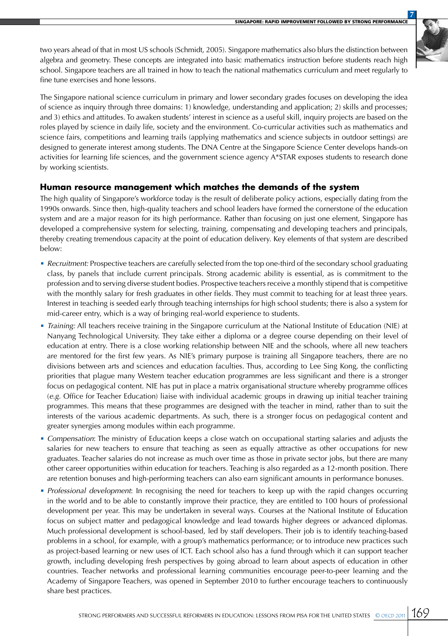two years ahead of that in most US schools (Schmidt, 2005). Singapore mathematics also blurs the distinction between algebra and geometry. These concepts are integrated into basic mathematics instruction before students reach high school. Singapore teachers are all trained in how to teach the national mathematics curriculum and meet regularly to fine tune exercises and hone lessons.

The Singapore national science curriculum in primary and lower secondary grades focuses on developing the idea of science as inquiry through three domains: 1) knowledge, understanding and application; 2) skills and processes; and 3) ethics and attitudes. To awaken students' interest in science as a useful skill, inquiry projects are based on the roles played by science in daily life, society and the environment. Co-curricular activities such as mathematics and science fairs, competitions and learning trails (applying mathematics and science subjects in outdoor settings) are designed to generate interest among students. The DNA Centre at the Singapore Science Center develops hands-on activities for learning life sciences, and the government science agency A\*STAR exposes students to research done by working scientists.

#### **Human resource management which matches the demands of the system**

The high quality of Singapore's workforce today is the result of deliberate policy actions, especially dating from the 1990s onwards. Since then, high-quality teachers and school leaders have formed the cornerstone of the education system and are a major reason for its high performance. Rather than focusing on just one element, Singapore has developed a comprehensive system for selecting, training, compensating and developing teachers and principals, thereby creating tremendous capacity at the point of education delivery. Key elements of that system are described below:

- *• Recruitment:* Prospective teachers are carefully selected from the top one-third of the secondary school graduating class, by panels that include current principals. Strong academic ability is essential, as is commitment to the profession and to serving diverse student bodies. Prospective teachers receive a monthly stipend that is competitive with the monthly salary for fresh graduates in other fields. They must commit to teaching for at least three years. Interest in teaching is seeded early through teaching internships for high school students; there is also a system for mid-career entry, which is a way of bringing real-world experience to students.
- *• Training:* All teachers receive training in the Singapore curriculum at the National Institute of Education (NIE) at Nanyang Technological University. They take either a diploma or a degree course depending on their level of education at entry. There is a close working relationship between NIE and the schools, where all new teachers are mentored for the first few years. As NIE's primary purpose is training all Singapore teachers, there are no divisions between arts and sciences and education faculties. Thus, according to Lee Sing Kong, the conflicting priorities that plague many Western teacher education programmes are less significant and there is a stronger focus on pedagogical content. NIE has put in place a matrix organisational structure whereby programme offices (*e.g.* Office for Teacher Education) liaise with individual academic groups in drawing up initial teacher training programmes. This means that these programmes are designed with the teacher in mind, rather than to suit the interests of the various academic departments. As such, there is a stronger focus on pedagogical content and greater synergies among modules within each programme.
- *• Compensation*: The ministry of Education keeps a close watch on occupational starting salaries and adjusts the salaries for new teachers to ensure that teaching as seen as equally attractive as other occupations for new graduates. Teacher salaries do not increase as much over time as those in private sector jobs, but there are many other career opportunities within education for teachers. Teaching is also regarded as a 12-month position. There are retention bonuses and high-performing teachers can also earn significant amounts in performance bonuses.
- *• Professional development*: In recognising the need for teachers to keep up with the rapid changes occurring in the world and to be able to constantly improve their practice, they are entitled to 100 hours of professional development per year. This may be undertaken in several ways. Courses at the National Institute of Education focus on subject matter and pedagogical knowledge and lead towards higher degrees or advanced diplomas. Much professional development is school-based, led by staff developers. Their job is to identify teaching-based problems in a school, for example, with a group's mathematics performance; or to introduce new practices such as project-based learning or new uses of ICT. Each school also has a fund through which it can support teacher growth, including developing fresh perspectives by going abroad to learn about aspects of education in other countries. Teacher networks and professional learning communities encourage peer-to-peer learning and the Academy of Singapore Teachers, was opened in September 2010 to further encourage teachers to continuously share best practices.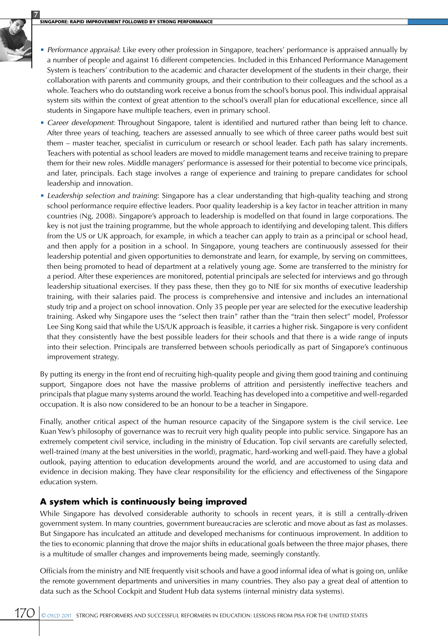- 
- *• Performance appraisal*: Like every other profession in Singapore, teachers' performance is appraised annually by a number of people and against 16 different competencies. Included in this Enhanced Performance Management System is teachers' contribution to the academic and character development of the students in their charge, their collaboration with parents and community groups, and their contribution to their colleagues and the school as a whole. Teachers who do outstanding work receive a bonus from the school's bonus pool. This individual appraisal system sits within the context of great attention to the school's overall plan for educational excellence, since all students in Singapore have multiple teachers, even in primary school.
- *• Career development*: Throughout Singapore, talent is identified and nurtured rather than being left to chance. After three years of teaching, teachers are assessed annually to see which of three career paths would best suit them – master teacher, specialist in curriculum or research or school leader. Each path has salary increments. Teachers with potential as school leaders are moved to middle management teams and receive training to prepare them for their new roles. Middle managers' performance is assessed for their potential to become vice principals, and later, principals. Each stage involves a range of experience and training to prepare candidates for school leadership and innovation.
- *• Leadership selection and training*: Singapore has a clear understanding that high-quality teaching and strong school performance require effective leaders. Poor quality leadership is a key factor in teacher attrition in many countries (Ng, 2008). Singapore's approach to leadership is modelled on that found in large corporations. The key is not just the training programme, but the whole approach to identifying and developing talent. This differs from the US or UK approach, for example, in which a teacher can apply to train as a principal or school head, and then apply for a position in a school. In Singapore, young teachers are continuously assessed for their leadership potential and given opportunities to demonstrate and learn, for example, by serving on committees, then being promoted to head of department at a relatively young age. Some are transferred to the ministry for a period. After these experiences are monitored, potential principals are selected for interviews and go through leadership situational exercises. If they pass these, then they go to NIE for six months of executive leadership training, with their salaries paid. The process is comprehensive and intensive and includes an international study trip and a project on school innovation. Only 35 people per year are selected for the executive leadership training. Asked why Singapore uses the "select then train" rather than the "train then select" model, Professor Lee Sing Kong said that while the US/UK approach is feasible, it carries a higher risk. Singapore is very confident that they consistently have the best possible leaders for their schools and that there is a wide range of inputs into their selection. Principals are transferred between schools periodically as part of Singapore's continuous improvement strategy.

By putting its energy in the front end of recruiting high-quality people and giving them good training and continuing support, Singapore does not have the massive problems of attrition and persistently ineffective teachers and principals that plague many systems around the world. Teaching has developed into a competitive and well-regarded occupation. It is also now considered to be an honour to be a teacher in Singapore.

Finally, another critical aspect of the human resource capacity of the Singapore system is the civil service. Lee Kuan Yew's philosophy of governance was to recruit very high quality people into public service. Singapore has an extremely competent civil service, including in the ministry of Education. Top civil servants are carefully selected, well-trained (many at the best universities in the world), pragmatic, hard-working and well-paid. They have a global outlook, paying attention to education developments around the world, and are accustomed to using data and evidence in decision making. They have clear responsibility for the efficiency and effectiveness of the Singapore education system.

## **A system which is continuously being improved**

While Singapore has devolved considerable authority to schools in recent years, it is still a centrally-driven government system. In many countries, government bureaucracies are sclerotic and move about as fast as molasses. But Singapore has inculcated an attitude and developed mechanisms for continuous improvement. In addition to the ties to economic planning that drove the major shifts in educational goals between the three major phases, there is a multitude of smaller changes and improvements being made, seemingly constantly.

Officials from the ministry and NIE frequently visit schools and have a good informal idea of what is going on, unlike the remote government departments and universities in many countries. They also pay a great deal of attention to data such as the School Cockpit and Student Hub data systems (internal ministry data systems).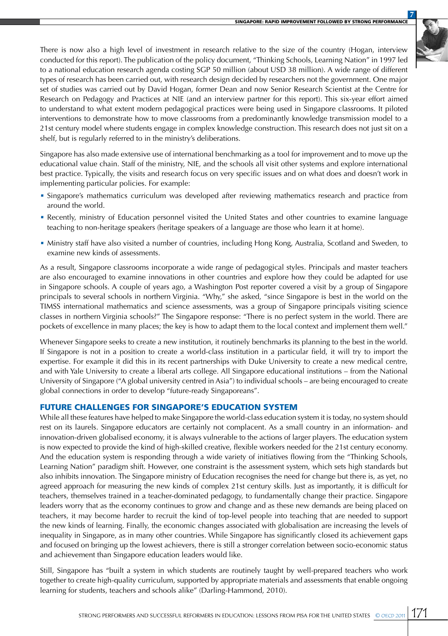

There is now also a high level of investment in research relative to the size of the country (Hogan, interview conducted for this report). The publication of the policy document, "Thinking Schools, Learning Nation" in 1997 led to a national education research agenda costing SGP 50 million (about USD 38 million). A wide range of different types of research has been carried out, with research design decided by researchers not the government. One major set of studies was carried out by David Hogan, former Dean and now Senior Research Scientist at the Centre for Research on Pedagogy and Practices at NIE (and an interview partner for this report). This six-year effort aimed to understand to what extent modern pedagogical practices were being used in Singapore classrooms. It piloted interventions to demonstrate how to move classrooms from a predominantly knowledge transmission model to a 21st century model where students engage in complex knowledge construction. This research does not just sit on a shelf, but is regularly referred to in the ministry's deliberations.

Singapore has also made extensive use of international benchmarking as a tool for improvement and to move up the educational value chain. Staff of the ministry, NIE, and the schools all visit other systems and explore international best practice. Typically, the visits and research focus on very specific issues and on what does and doesn't work in implementing particular policies. For example:

- *•* Singapore's mathematics curriculum was developed after reviewing mathematics research and practice from around the world.
- Recently, ministry of Education personnel visited the United States and other countries to examine language teaching to non-heritage speakers (heritage speakers of a language are those who learn it at home).
- *•* Ministry staff have also visited a number of countries, including Hong Kong, Australia, Scotland and Sweden, to examine new kinds of assessments.

As a result, Singapore classrooms incorporate a wide range of pedagogical styles. Principals and master teachers are also encouraged to examine innovations in other countries and explore how they could be adapted for use in Singapore schools. A couple of years ago, a Washington Post reporter covered a visit by a group of Singapore principals to several schools in northern Virginia. "Why," she asked, "since Singapore is best in the world on the TIMSS international mathematics and science assessments, was a group of Singapore principals visiting science classes in northern Virginia schools?" The Singapore response: "There is no perfect system in the world. There are pockets of excellence in many places; the key is how to adapt them to the local context and implement them well."

Whenever Singapore seeks to create a new institution, it routinely benchmarks its planning to the best in the world. If Singapore is not in a position to create a world-class institution in a particular field, it will try to import the expertise. For example it did this in its recent partnerships with Duke University to create a new medical centre, and with Yale University to create a liberal arts college. All Singapore educational institutions – from the National University of Singapore ("A global university centred in Asia") to individual schools – are being encouraged to create global connections in order to develop "future-ready Singaporeans".

#### Future Challenges for Singapore's education system

While all these features have helped to make Singapore the world-class education system it is today, no system should rest on its laurels. Singapore educators are certainly not complacent. As a small country in an information- and innovation-driven globalised economy, it is always vulnerable to the actions of larger players. The education system is now expected to provide the kind of high-skilled creative, flexible workers needed for the 21st century economy. And the education system is responding through a wide variety of initiatives flowing from the "Thinking Schools, Learning Nation" paradigm shift. However, one constraint is the assessment system, which sets high standards but also inhibits innovation. The Singapore ministry of Education recognises the need for change but there is, as yet, no agreed approach for measuring the new kinds of complex 21st century skills. Just as importantly, it is difficult for teachers, themselves trained in a teacher-dominated pedagogy, to fundamentally change their practice. Singapore leaders worry that as the economy continues to grow and change and as these new demands are being placed on teachers, it may become harder to recruit the kind of top-level people into teaching that are needed to support the new kinds of learning. Finally, the economic changes associated with globalisation are increasing the levels of inequality in Singapore, as in many other countries. While Singapore has significantly closed its achievement gaps and focused on bringing up the lowest achievers, there is still a stronger correlation between socio-economic status and achievement than Singapore education leaders would like.

Still, Singapore has "built a system in which students are routinely taught by well-prepared teachers who work together to create high-quality curriculum, supported by appropriate materials and assessments that enable ongoing learning for students, teachers and schools alike" (Darling-Hammond, 2010).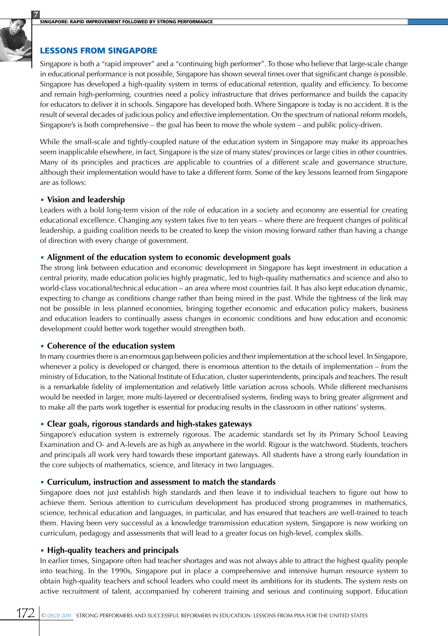#### Lessons from Singapore

Singapore is both a "rapid improver" and a "continuing high performer". To those who believe that large-scale change in educational performance is not possible, Singapore has shown several times over that significant change *is* possible. Singapore has developed a high-quality system in terms of educational retention, quality and efficiency. To become and remain high-performing, countries need a policy infrastructure that drives performance and builds the capacity for educators to deliver it in schools. Singapore has developed both. Where Singapore is today is no accident. It is the result of several decades of judicious policy and effective implementation. On the spectrum of national reform models, Singapore's is both comprehensive – the goal has been to move the whole system – and public policy-driven.

While the small-scale and tightly-coupled nature of the education system in Singapore may make its approaches seem inapplicable elsewhere, in fact, Singapore is the size of many states/ provinces or large cities in other countries. Many of its principles and practices *are* applicable to countries of a different scale and governance structure, although their implementation would have to take a different form. Some of the key lessons learned from Singapore are as follows:

#### *•* **Vision and leadership**

Leaders with a bold long-term vision of the role of education in a society and economy are essential for creating educational excellence. Changing any system takes five to ten years – where there are frequent changes of political leadership, a guiding coalition needs to be created to keep the vision moving forward rather than having a change of direction with every change of government.

#### *•* **Alignment of the education system to economic development goals**

The strong link between education and economic development in Singapore has kept investment in education a central priority, made education policies highly pragmatic, led to high-quality mathematics and science and also to world-class vocational/technical education – an area where most countries fail. It has also kept education dynamic, expecting to change as conditions change rather than being mired in the past. While the tightness of the link may not be possible in less planned economies, bringing together economic and education policy makers, business and education leaders to continually assess changes in economic conditions and how education and economic development could better work together would strengthen both.

#### *•* **Coherence of the education system**

In many countries there is an enormous gap between policies and their implementation at the school level. In Singapore, whenever a policy is developed or changed, there is enormous attention to the details of implementation – from the ministry of Education, to the National Institute of Education, cluster superintendents, principals and teachers. The result is a remarkable fidelity of implementation and relatively little variation across schools. While different mechanisms would be needed in larger, more multi-layered or decentralised systems, finding ways to bring greater alignment and to make all the parts work together is essential for producing results in the classroom in other nations' systems.

#### *•* **Clear goals, rigorous standards and high-stakes gateways**

Singapore's education system is extremely rigorous. The academic standards set by its Primary School Leaving Examination and O- and A-levels are as high as anywhere in the world. Rigour is the watchword. Students, teachers and principals all work very hard towards these important gateways. All students have a strong early foundation in the core subjects of mathematics, science, and literacy in two languages.

#### *•* **Curriculum, instruction and assessment to match the standards**

Singapore does not just establish high standards and then leave it to individual teachers to figure out how to achieve them. Serious attention to curriculum development has produced strong programmes in mathematics, science, technical education and languages, in particular, and has ensured that teachers are well-trained to teach them. Having been very successful as a knowledge transmission education system, Singapore is now working on curriculum, pedagogy and assessments that will lead to a greater focus on high-level, complex skills.

#### *•* **High-quality teachers and principals**

In earlier times, Singapore often had teacher shortages and was not always able to attract the highest quality people into teaching. In the 1990s, Singapore put in place a comprehensive and intensive human resource system to obtain high-quality teachers and school leaders who could meet its ambitions for its students. The system rests on active recruitment of talent, accompanied by coherent training and serious and continuing support. Education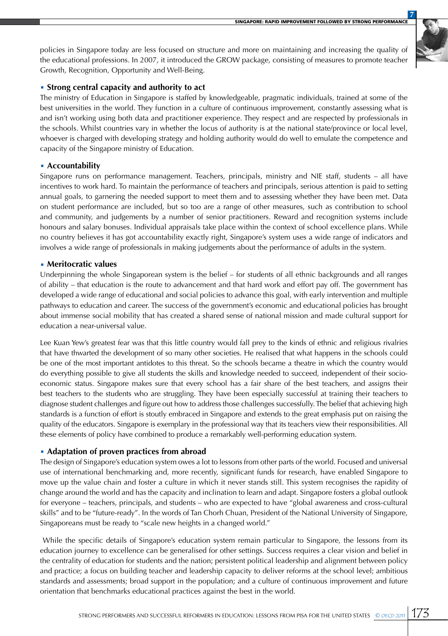policies in Singapore today are less focused on structure and more on maintaining and increasing the quality of the educational professions. In 2007, it introduced the GROW package, consisting of measures to promote teacher Growth, Recognition, Opportunity and Well-Being.

#### *•* **Strong central capacity and authority to act**

The ministry of Education in Singapore is staffed by knowledgeable, pragmatic individuals, trained at some of the best universities in the world. They function in a culture of continuous improvement, constantly assessing what is and isn't working using both data and practitioner experience. They respect and are respected by professionals in the schools. Whilst countries vary in whether the locus of authority is at the national state/province or local level, whoever is charged with developing strategy and holding authority would do well to emulate the competence and capacity of the Singapore ministry of Education.

#### *•* **Accountability**

Singapore runs on performance management. Teachers, principals, ministry and NIE staff, students – all have incentives to work hard. To maintain the performance of teachers and principals, serious attention is paid to setting annual goals, to garnering the needed support to meet them and to assessing whether they have been met. Data on student performance are included, but so too are a range of other measures, such as contribution to school and community, and judgements by a number of senior practitioners. Reward and recognition systems include honours and salary bonuses. Individual appraisals take place within the context of school excellence plans. While no country believes it has got accountability exactly right, Singapore's system uses a wide range of indicators and involves a wide range of professionals in making judgements about the performance of adults in the system.

#### *•* **Meritocratic values**

Underpinning the whole Singaporean system is the belief – for students of all ethnic backgrounds and all ranges of ability – that education is the route to advancement and that hard work and effort pay off. The government has developed a wide range of educational and social policies to advance this goal, with early intervention and multiple pathways to education and career. The success of the government's economic and educational policies has brought about immense social mobility that has created a shared sense of national mission and made cultural support for education a near-universal value.

Lee Kuan Yew's greatest fear was that this little country would fall prey to the kinds of ethnic and religious rivalries that have thwarted the development of so many other societies. He realised that what happens in the schools could be one of the most important antidotes to this threat. So the schools became a theatre in which the country would do everything possible to give all students the skills and knowledge needed to succeed, independent of their socioeconomic status. Singapore makes sure that every school has a fair share of the best teachers, and assigns their best teachers to the students who are struggling. They have been especially successful at training their teachers to diagnose student challenges and figure out how to address those challenges successfully. The belief that achieving high standards is a function of effort is stoutly embraced in Singapore and extends to the great emphasis put on raising the quality of the educators. Singapore is exemplary in the professional way that its teachers view their responsibilities. All these elements of policy have combined to produce a remarkably well-performing education system.

#### *•* **Adaptation of proven practices from abroad**

The design of Singapore's education system owes a lot to lessons from other parts of the world. Focused and universal use of international benchmarking and, more recently, significant funds for research, have enabled Singapore to move up the value chain and foster a culture in which it never stands still. This system recognises the rapidity of change around the world and has the capacity and inclination to learn and adapt. Singapore fosters a global outlook for everyone – teachers, principals, and students – who are expected to have "global awareness and cross-cultural skills" and to be "future-ready". In the words of Tan Chorh Chuan, President of the National University of Singapore, Singaporeans must be ready to "scale new heights in a changed world."

 While the specific details of Singapore's education system remain particular to Singapore, the lessons from its education journey to excellence can be generalised for other settings. Success requires a clear vision and belief in the centrality of education for students and the nation; persistent political leadership and alignment between policy and practice; a focus on building teacher and leadership capacity to deliver reforms at the school level; ambitious standards and assessments; broad support in the population; and a culture of continuous improvement and future orientation that benchmarks educational practices against the best in the world.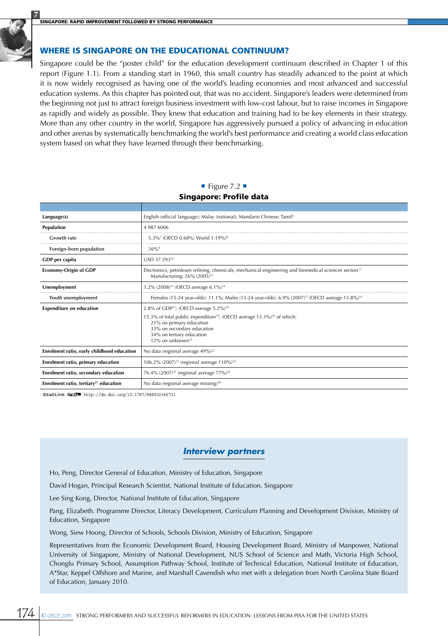#### Where is Singapore on the educational continuum?

Singapore could be the "poster child" for the education development continuum described in Chapter 1 of this report (Figure 1.1). From a standing start in 1960, this small country has steadily advanced to the point at which it is now widely recognised as having one of the world's leading economies and most advanced and successful education systems. As this chapter has pointed out, that was no accident. Singapore's leaders were determined from the beginning not just to attract foreign business investment with low-cost labour, but to raise incomes in Singapore as rapidly and widely as possible. They knew that education and training had to be key elements in their strategy. More than any other country in the world, Singapore has aggressively pursued a policy of advancing in education and other arenas by systematically benchmarking the world's best performance and creating a world class education system based on what they have learned through their benchmarking.

#### *•* Figure 7.2 *•* Singapore: Profile data

| Language(s)                                       | English (official language); Malay (national); Mandarin Chinese; Tamil <sup>5</sup>                                                                                                                                                                                                       |  |  |
|---------------------------------------------------|-------------------------------------------------------------------------------------------------------------------------------------------------------------------------------------------------------------------------------------------------------------------------------------------|--|--|
| Population                                        | 4 987 6006                                                                                                                                                                                                                                                                                |  |  |
| Growth rate                                       | 5.3% <sup>7</sup> (OECD 0.68%; World 1.19%) <sup>{</sup>                                                                                                                                                                                                                                  |  |  |
| Foreign-born population                           | $36\%$ <sup>9</sup>                                                                                                                                                                                                                                                                       |  |  |
| GDP per capita                                    | USD 37 29310                                                                                                                                                                                                                                                                              |  |  |
| <b>Economy-Origin of GDP</b>                      | Electronics, petroleum refining, chemicals, mechanical engineering and biomedical sciences sectors <sup>11</sup><br>Manufacturing: 26% (2005) <sup>12</sup>                                                                                                                               |  |  |
| Unemployment                                      | 3.2% (2008) <sup>13</sup> (OECD average 6.1%) <sup>14</sup>                                                                                                                                                                                                                               |  |  |
| Youth unemployment                                | Females (15-24 year-olds): 11.1%; Males (15-24 year-olds): 6.9% (2007) <sup>15</sup> (OECD average 13.8%) <sup>16</sup>                                                                                                                                                                   |  |  |
| <b>Expenditure on education</b>                   | 2.8% of GDP <sup>17</sup> ; (OECD average 5.2%) <sup>18</sup><br>15.3% of total public expenditure <sup>19</sup> , (OECD average 13.3%) <sup>20</sup> of which:<br>21% on primary education<br>33% on secondary education<br>34% on tertiary education<br>$12\%$ on unknown <sup>21</sup> |  |  |
| Enrolment ratio, early childhood education        | No data (regional average 49%) <sup>22</sup>                                                                                                                                                                                                                                              |  |  |
| Enrolment ratio, primary education                | 106.2% (2007) <sup>23</sup> (regional average 110%) <sup>24</sup>                                                                                                                                                                                                                         |  |  |
| Enrolment ratio, secondary education              | 76.4% (2007) <sup>25</sup> (regional average 77%) <sup>26</sup>                                                                                                                                                                                                                           |  |  |
| Enrolment ratio, tertiary <sup>27</sup> education | No data (regional average missing) <sup>28</sup>                                                                                                                                                                                                                                          |  |  |

1 2http://dx.doi.org/10.1787/888932366731

#### *Interview partners*

Ho, Peng, Director General of Education, Ministry of Education, Singapore

David Hogan, Principal Research Scientist, National Institute of Education, Singapore

Lee Sing Kong, Director, National Institute of Education, Singapore

Pang, Elizabeth. Programme Director, Literacy Development, Curriculum Planning and Development Division, Ministry of Education, Singapore

Wong, Siew Hoong, Director of Schools, Schools Division, Ministry of Education, Singapore

Representatives from the Economic Development Board, Housing Development Board, Ministry of Manpower, National University of Singapore, Ministry of National Development, NUS School of Science and Math, Victoria High School, Chongfu Primary School, Assumption Pathway School, Institute of Technical Education, National Institute of Education, A\*Star, Keppel Offshore and Marine, and Marshall Cavendish who met with a delegation from North Carolina State Board of Education, January 2010.

 $174\,|\circ$   $\circ$   $\circ$ ecd 2011  $\,$  strong performers and successful reformers in education: Lessons from PISA for the united states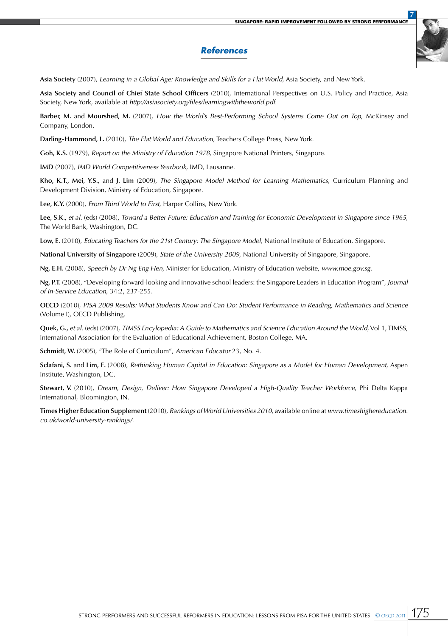# 7

#### *References*

**Asia Society** (2007), *Learning in a Global Age: Knowledge and Skills for a Flat World*, Asia Society, and New York.

**Asia Society and Council of Chief State School Officers** (2010), International Perspectives on U.S. Policy and Practice, Asia Society, New York, available at *http://asiasociety.org/files/learningwiththeworld.pdf.*

**Barber, M.** and **Mourshed, M.** (2007), *How the World's Best-Performing School Systems Come Out on Top*, McKinsey and Company, London.

**Darling-Hammond, L.** (2010), *The Flat World and Educatio*n, Teachers College Press, New York.

**Goh, K.S.** (1979), *Report on the Ministry of Education 1978*, Singapore National Printers, Singapore.

**IMD** (2007), *IMD World Competitiveness Yearbook,* IMD, Lausanne.

**Kho, K.T., Mei, Y.S.,** and **J. Lim** (2009), *The Singapore Model Method for Learning Mathematics*, Curriculum Planning and Development Division, Ministry of Education, Singapore.

**Lee, K.Y.** (2000), *From Third World to First*, Harper Collins, New York.

**Lee, S.K.,** *et al.* (eds) (2008), *Toward a Better Future: Education and Training for Economic Development in Singapore since 1965*, The World Bank, Washington, DC.

**Low, E.** (2010), *Educating Teachers for the 21st Century: The Singapore Model*, National Institute of Education, Singapore.

**National University of Singapore** (2009), *State of the University 2009*, National University of Singapore, Singapore.

**Ng, E.H.** (2008), *Speech by Dr Ng Eng Hen*, Minister for Education, Ministry of Education website, *www.moe.gov.sg.*

**Ng, P.T.** (2008), "Developing forward-looking and innovative school leaders: the Singapore Leaders in Education Program", *Journal of In-Service Education*, 34:2, 237-255.

**OECD** (2010), *PISA 2009 Results: What Students Know and Can Do: Student Performance in Reading, Mathematics and Science*  (Volume I), OECD Publishing.

**Quek, G.,** *et al*. (eds) (2007), *TIMSS Encylopedia: A Guide to Mathematics and Science Education Around the World*, Vol 1, TIMSS, International Association for the Evaluation of Educational Achievement, Boston College, MA.

**Schmidt, W.** (2005), "The Role of Curriculum", *American Educator* 23, No. 4.

**Sclafani, S.** and **Lim, E.** (2008), *Rethinking Human Capital in Education: Singapore as a Model for Human Development*, Aspen Institute, Washington, DC.

**Stewart, V.** (2010), *Dream, Design, Deliver: How Singapore Developed a High-Quality Teacher Workforce*, Phi Delta Kappa International, Bloomington, IN.

**Times Higher Education Supplement** (2010), *Rankings of World Universities 2010*, available online at *www.timeshighereducation. co.uk/world-university-rankings/.*